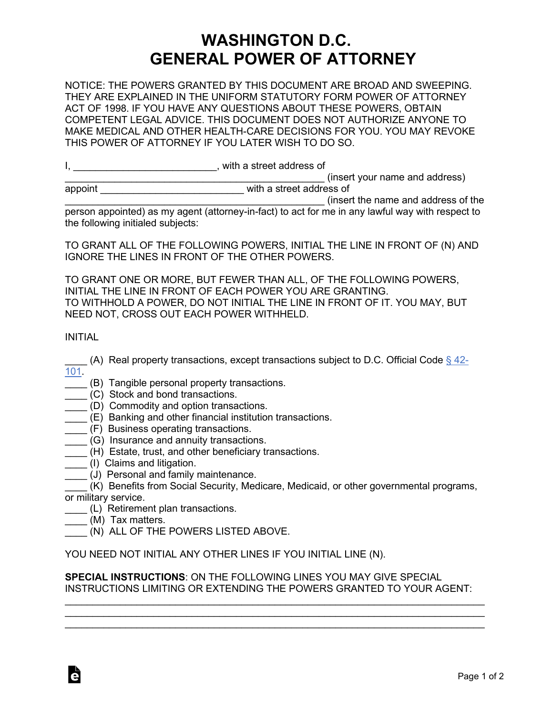## **WASHINGTON D.C. GENERAL POWER OF ATTORNEY**

NOTICE: THE POWERS GRANTED BY THIS DOCUMENT ARE BROAD AND SWEEPING. THEY ARE EXPLAINED IN THE UNIFORM STATUTORY FORM POWER OF ATTORNEY ACT OF 1998. IF YOU HAVE ANY QUESTIONS ABOUT THESE POWERS, OBTAIN COMPETENT LEGAL ADVICE. THIS DOCUMENT DOES NOT AUTHORIZE ANYONE TO MAKE MEDICAL AND OTHER HEALTH-CARE DECISIONS FOR YOU. YOU MAY REVOKE THIS POWER OF ATTORNEY IF YOU LATER WISH TO DO SO.

|  | with a street address of $\,$ |
|--|-------------------------------|
|--|-------------------------------|

|  |                      |  | (insert your name and address) |
|--|----------------------|--|--------------------------------|
|  | $\sim$ $\sim$ $\sim$ |  |                                |

| appoint | with a street address of |  |
|---------|--------------------------|--|
|         |                          |  |

\_\_\_\_\_\_\_\_\_\_\_\_\_\_\_\_\_\_\_\_\_\_\_\_\_\_\_\_\_\_\_\_\_\_\_\_\_\_\_\_\_\_\_\_\_\_\_ (insert the name and address of the person appointed) as my agent (attorney-in-fact) to act for me in any lawful way with respect to the following initialed subjects:

TO GRANT ALL OF THE FOLLOWING POWERS, INITIAL THE LINE IN FRONT OF (N) AND IGNORE THE LINES IN FRONT OF THE OTHER POWERS.

TO GRANT ONE OR MORE, BUT FEWER THAN ALL, OF THE FOLLOWING POWERS, INITIAL THE LINE IN FRONT OF EACH POWER YOU ARE GRANTING. TO WITHHOLD A POWER, DO NOT INITIAL THE LINE IN FRONT OF IT. YOU MAY, BUT NEED NOT, CROSS OUT EACH POWER WITHHELD.

INITIAL

- \_ (A) Real property transactions, except transactions subject to D.C. Official Code [§ 42-](https://code.dccouncil.us/dc/council/code/sections/42-101.html) [101.](https://code.dccouncil.us/dc/council/code/sections/42-101.html)
- (B) Tangible personal property transactions.
- \_\_\_\_ (C) Stock and bond transactions.
- \_\_\_\_ (D) Commodity and option transactions.
- \_\_\_\_ (E) Banking and other financial institution transactions.
- \_\_\_\_ (F) Business operating transactions.
- \_\_\_\_ (G) Insurance and annuity transactions.
- (H) Estate, trust, and other beneficiary transactions.
- \_\_\_\_ (I) Claims and litigation.
- (J) Personal and family maintenance.
- \_\_\_\_ (K) Benefits from Social Security, Medicare, Medicaid, or other governmental programs, or military service.
- \_\_\_\_ (L) Retirement plan transactions.
- (M) Tax matters.
- \_\_\_\_ (N) ALL OF THE POWERS LISTED ABOVE.

YOU NEED NOT INITIAL ANY OTHER LINES IF YOU INITIAL LINE (N).

**SPECIAL INSTRUCTIONS**: ON THE FOLLOWING LINES YOU MAY GIVE SPECIAL INSTRUCTIONS LIMITING OR EXTENDING THE POWERS GRANTED TO YOUR AGENT:

\_\_\_\_\_\_\_\_\_\_\_\_\_\_\_\_\_\_\_\_\_\_\_\_\_\_\_\_\_\_\_\_\_\_\_\_\_\_\_\_\_\_\_\_\_\_\_\_\_\_\_\_\_\_\_\_\_\_\_\_\_\_\_\_\_\_\_\_\_\_\_\_\_\_\_\_ \_\_\_\_\_\_\_\_\_\_\_\_\_\_\_\_\_\_\_\_\_\_\_\_\_\_\_\_\_\_\_\_\_\_\_\_\_\_\_\_\_\_\_\_\_\_\_\_\_\_\_\_\_\_\_\_\_\_\_\_\_\_\_\_\_\_\_\_\_\_\_\_\_\_\_\_ \_\_\_\_\_\_\_\_\_\_\_\_\_\_\_\_\_\_\_\_\_\_\_\_\_\_\_\_\_\_\_\_\_\_\_\_\_\_\_\_\_\_\_\_\_\_\_\_\_\_\_\_\_\_\_\_\_\_\_\_\_\_\_\_\_\_\_\_\_\_\_\_\_\_\_\_